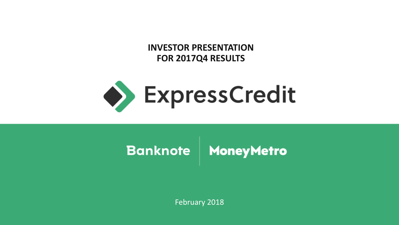**INVESTOR PRESENTATION FOR 2017Q4 RESULTS**



# Banknote | MoneyMetro

February 2018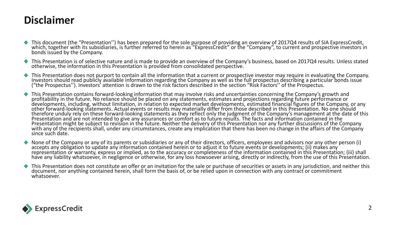#### **Disclaimer**

- This document (the "Presentation'') has been prepared for the sole purpose of providing an overview of 2017Q4 results of SIA ExpressCredit, which, together with its subsidiaries, is further referred to herein as "ExpressCredit" or the "Company", to current and prospective investors in bonds issued by the Company.
- This Presentation is of selective nature and is made to provide an overview of the Company's business, based on 2017Q4 results. Unless stated otherwise, the information in this Presentation is provided from consolidated perspective.
- This Presentation does not purport to contain all the information that a current or prospective investor may require in evaluating the Company. Investors should read publicly available information regarding the Company as well as the full prospectus describing a particular bonds issue ("the Prospectus''). Investors' attention is drawn to the risk factors described in the section "Risk Factors'' of the Prospectus.
- This Presentation contains forward-looking information that may involve risks and uncertainties concerning the Company's growth and profitability in the future. No reliance should be placed on any statements, estimates and projections regarding future performance or developments, including, without limitation, in relation to expected market developments, estimated financial figures of the Company, or any other forward-looking statements. Actual events or results may materially differ from those described in this Presentation. No one should therefore unduly rely on these forward-looking statements as they reflect only the judgment of the Company's management at the date of this Presentation and are not intended to give any assurances or comfort as to future results. The facts and information contained in the Presentation might be subject to revision in the future. Neither the delivery of this Presentation nor any further discussions of the Company with any of the recipients shall, under any circumstances, create any implication that there has been no change in the affairs of the Company since such date.
- None of the Company or any of its parents or subsidiaries or any of their directors, officers, employees and advisors nor any other person (i) accepts any obligation to update any information contained herein or to adjust it to future events or developments; (ii) makes any representation or warranty, express or implied, as to the accuracy or completeness of the information contained in this Presentation; (iii) shall have any liability whatsoever, in negligence or otherwise, for any loss howsoever arising, directly or indirectly, from the use of this Presentation.
- This Presentation does not constitute an offer or an invitation for the sale or purchase of securities or assets in any jurisdiction, and neither this document, nor anything contained herein, shall form the basis of, or be relied upon in connection with any contract or commitment whatsoever.

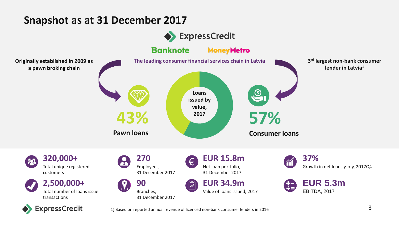#### **Snapshot as at 31 December 2017**

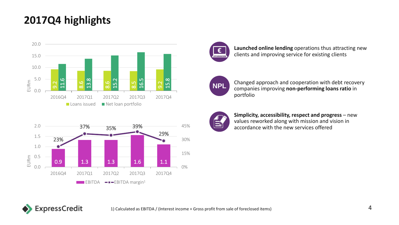#### **2017Q4 highlights**







**Launched online lending** operations thus attracting new clients and improving service for existing clients



Changed approach and cooperation with debt recovery companies improving **non-performing loans ratio** in portfolio



**Simplicity, accessibility, respect and progress** – new values reworked along with mission and vision in accordance with the new services offered

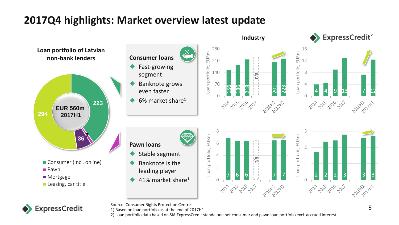## **2017Q4 highlights: Market overview latest update**





Source: Consumer Rights Protection Centre

1) Based on loan portfolio as at the end of 2017H1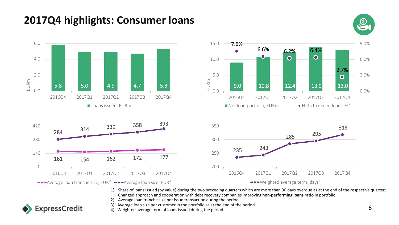## **2017Q4 highlights: Consumer loans**

**ExpressCredit** 





- 1) Share of loans issued (by value) during the two preceding quarters which are more than 90 days overdue as at the end of the respective quarter; Changed approach and cooperation with debt recovery companiesimproving **non-performing loans ratio** in portfolio
- 2) Average loan tranche size per issue transaction during the period
- 3) Average loan size per customer in the portfolio as at the end of the period
- $\sim$  4) Weighted average term of loans issued during the period 6  $\sim$  6  $\sim$  6  $\sim$  6  $\sim$  6  $\sim$  6  $\sim$  6  $\sim$  6  $\sim$  6  $\sim$  6  $\sim$  6  $\sim$  6  $\sim$  6  $\sim$  6  $\sim$  6  $\sim$  6  $\sim$  6  $\sim$  6  $\sim$  6  $\sim$  6  $\sim$  6  $\sim$  6  $\sim$  6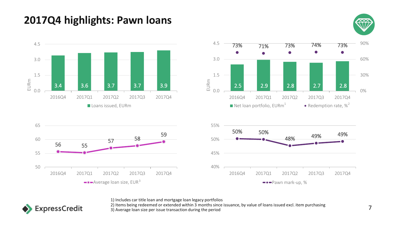## **2017Q4 highlights: Pawn loans**









1) Includes car title loan and mortgage loan legacy portfolios



2) Items being redeemed or extended within 3 months since issuance, by value of loans issued excl. item purchasing 2) Items being redeemed of extended within 3 months since issuance, by value or idans issued excitivem purchasing<br>3) Average loan size per issue transaction during the period

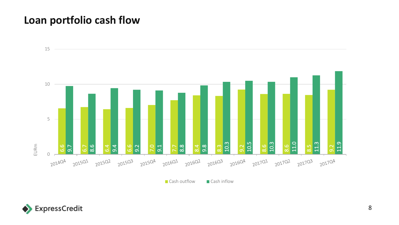#### **Loan portfolio cash flow**



Cash outflow Cash inflow

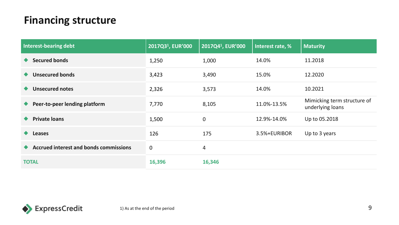## **Financing structure**

| Interest-bearing debt                         | 2017Q3 <sup>1</sup> , EUR'000 | 2017Q41, EUR'000 | Interest rate, % | <b>Maturity</b>                                 |
|-----------------------------------------------|-------------------------------|------------------|------------------|-------------------------------------------------|
| <b>Secured bonds</b>                          | 1,250                         | 1,000            | 14.0%            | 11.2018                                         |
| <b>Unsecured bonds</b>                        | 3,423                         | 3,490            | 15.0%            | 12.2020                                         |
| <b>Unsecured notes</b>                        | 2,326                         | 3,573            | 14.0%            | 10.2021                                         |
| Peer-to-peer lending platform                 | 7,770                         | 8,105            | 11.0%-13.5%      | Mimicking term structure of<br>underlying loans |
| <b>Private loans</b>                          | 1,500                         | $\mathbf 0$      | 12.9%-14.0%      | Up to 05.2018                                   |
| <b>Leases</b>                                 | 126                           | 175              | 3.5%+EURIBOR     | Up to 3 years                                   |
| <b>Accrued interest and bonds commissions</b> | $\mathbf 0$                   | 4                |                  |                                                 |
| <b>TOTAL</b>                                  | 16,396                        | 16,346           |                  |                                                 |